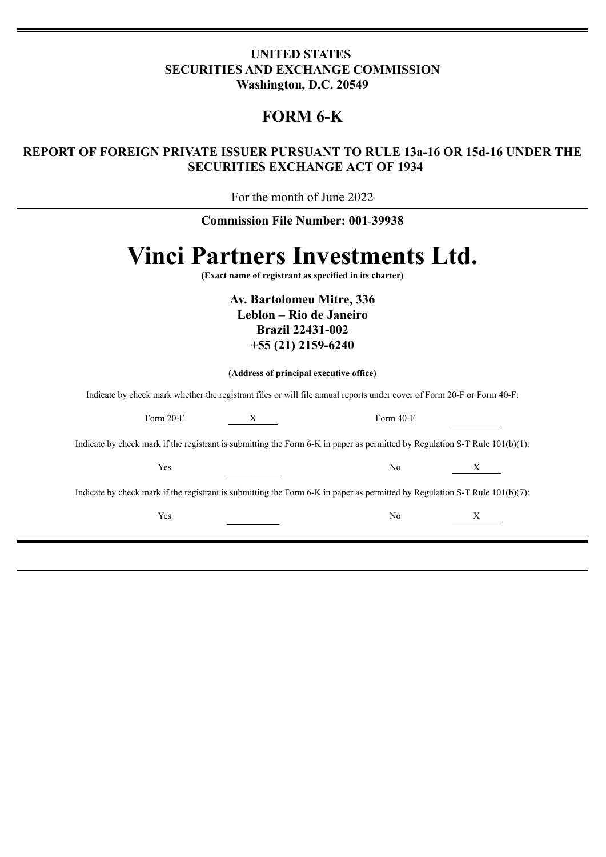## **UNITED STATES SECURITIES AND EXCHANGE COMMISSION Washington, D.C. 20549**

## **FORM 6-K**

## **REPORT OF FOREIGN PRIVATE ISSUER PURSUANT TO RULE 13a-16 OR 15d-16 UNDER THE SECURITIES EXCHANGE ACT OF 1934**

For the month of June 2022

## **Commission File Number: 001**-**39938**

# **Vinci Partners Investments Ltd.**

**(Exact name of registrant as specified in its charter)**

**Av. Bartolomeu Mitre, 336 Leblon – Rio de Janeiro Brazil 22431-002 +55 (21) 2159-6240**

**(Address of principal executive office)**

Indicate by check mark whether the registrant files or will file annual reports under cover of Form 20-F or Form 40-F:

| Form $20-F$                                                                                                                    | Χ | Form $40-F$    |   |  |
|--------------------------------------------------------------------------------------------------------------------------------|---|----------------|---|--|
| Indicate by check mark if the registrant is submitting the Form 6-K in paper as permitted by Regulation S-T Rule $101(b)(1)$ : |   |                |   |  |
| Yes                                                                                                                            |   | N <sub>0</sub> |   |  |
| Indicate by check mark if the registrant is submitting the Form 6-K in paper as permitted by Regulation S-T Rule $101(b)(7)$ : |   |                |   |  |
| Yes                                                                                                                            |   | N <sub>0</sub> | Х |  |
|                                                                                                                                |   |                |   |  |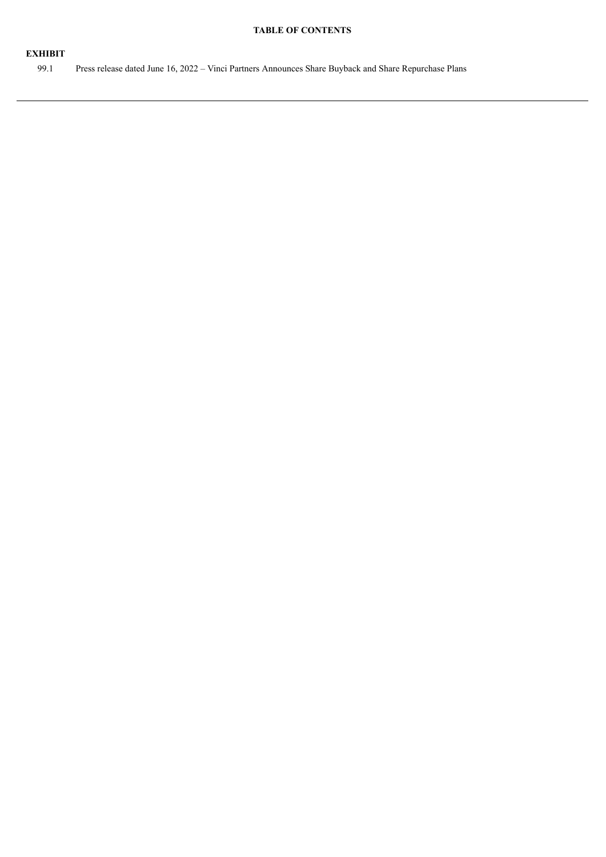#### **TABLE OF CONTENTS**

### **EXHIBIT**

99.1 Press release dated June 16, 2022 – Vinci Partners Announces Share Buyback and Share Repurchase Plans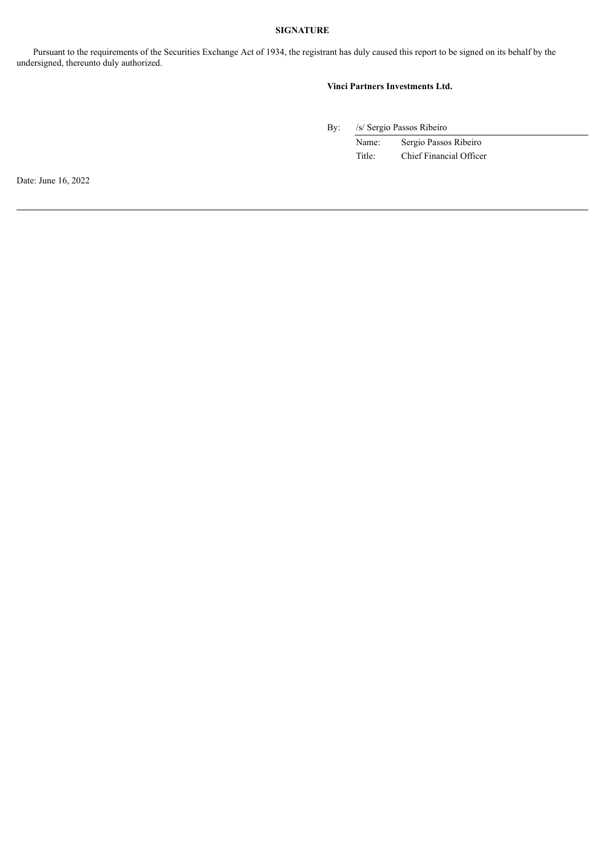#### **SIGNATURE**

Pursuant to the requirements of the Securities Exchange Act of 1934, the registrant has duly caused this report to be signed on its behalf by the undersigned, thereunto duly authorized.

#### **Vinci Partners Investments Ltd.**

By: /s/ Sergio Passos Ribeiro

Name: Sergio Passos Ribeiro Title: Chief Financial Officer

Date: June 16, 2022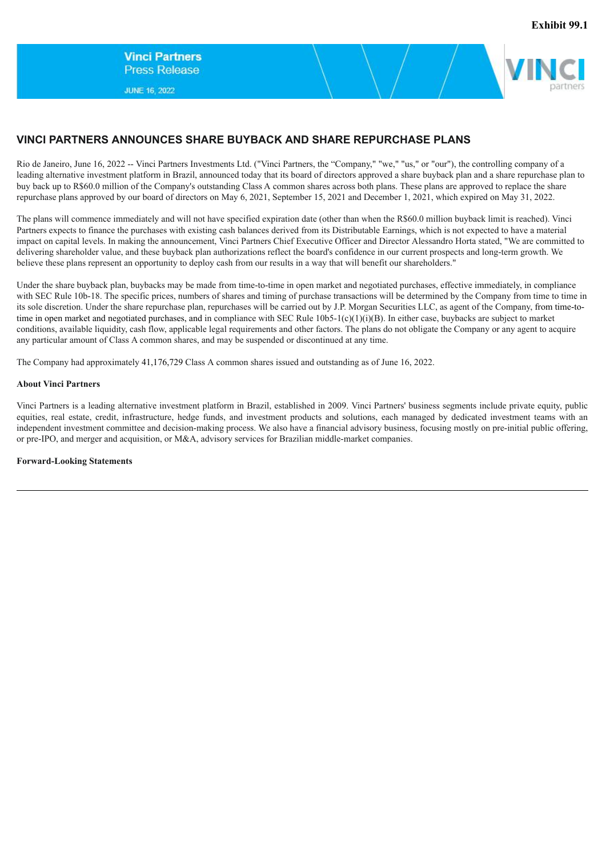**JUNE 16, 2022** 



## **VINCI PARTNERS ANNOUNCES SHARE BUYBACK AND SHARE REPURCHASE PLANS**

Rio de Janeiro, June 16, 2022 -- Vinci Partners Investments Ltd. ("Vinci Partners, the "Company," "we," "us," or "our"), the controlling company of a leading alternative investment platform in Brazil, announced today that its board of directors approved a share buyback plan and a share repurchase plan to buy back up to R\$60.0 million of the Company's outstanding Class A common shares across both plans. These plans are approved to replace the share repurchase plans approved by our board of directors on May 6, 2021, September 15, 2021 and December 1, 2021, which expired on May 31, 2022.

The plans will commence immediately and will not have specified expiration date (other than when the R\$60.0 million buyback limit is reached). Vinci Partners expects to finance the purchases with existing cash balances derived from its Distributable Earnings, which is not expected to have a material impact on capital levels. In making the announcement, Vinci Partners Chief Executive Officer and Director Alessandro Horta stated, "We are committed to delivering shareholder value, and these buyback plan authorizations reflect the board's confidence in our current prospects and long-term growth. We believe these plans represent an opportunity to deploy cash from our results in a way that will benefit our shareholders."

Under the share buyback plan, buybacks may be made from time-to-time in open market and negotiated purchases, effective immediately, in compliance with SEC Rule 10b-18. The specific prices, numbers of shares and timing of purchase transactions will be determined by the Company from time to time in its sole discretion. Under the share repurchase plan, repurchases will be carried out by J.P. Morgan Securities LLC, as agent of the Company, from time-totime in open market and negotiated purchases, and in compliance with SEC Rule  $10b5-1(c)(1)(i)(B)$ . In either case, buybacks are subject to market conditions, available liquidity, cash flow, applicable legal requirements and other factors. The plans do not obligate the Company or any agent to acquire any particular amount of Class A common shares, and may be suspended or discontinued at any time.

The Company had approximately 41,176,729 Class A common shares issued and outstanding as of June 16, 2022.

#### **About Vinci Partners**

Vinci Partners is a leading alternative investment platform in Brazil, established in 2009. Vinci Partners' business segments include private equity, public equities, real estate, credit, infrastructure, hedge funds, and investment products and solutions, each managed by dedicated investment teams with an independent investment committee and decision-making process. We also have a financial advisory business, focusing mostly on pre-initial public offering, or pre-IPO, and merger and acquisition, or M&A, advisory services for Brazilian middle-market companies.

#### **Forward-Looking Statements**